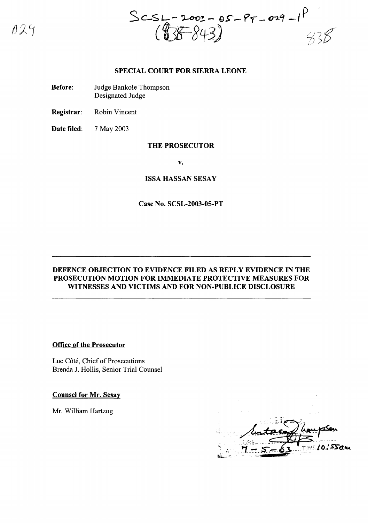$029$ 

 $-2002 - 05 - 95 - 029 - 19$  $Sc$ st.

## SPECIAL COURT FOR SIERRA LEONE

Before: Judge Bankole Thompson Designated Judge

Registrar: Robin Vincent

Date filed: 7 May 2003

## THE PROSECUTOR

v.

## ISSA HASSAN SESAY

## Case No. SCSL-2003-05-PT

# DEFENCE OBJECTION TO EVIDENCE FILED AS REPLY EVIDENCE IN THE PROSECUTION MOTION FOR IMMEDIATE PROTECTIVE MEASURES FOR WITNESSES AND VICTIMS AND FOR NON-PUBLICE DISCLOSURE

## Office of the Prosecutor

Luc Côté, Chief of Prosecutions Brenda 1. Hollis, Senior Trial Counsel

Counsel for Mr. Sesay

Mr. William Hartzog

SSau 707 "\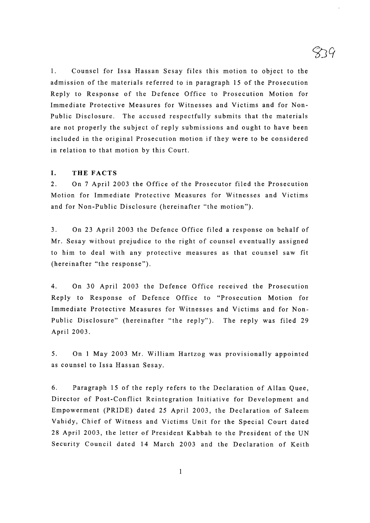1. Counsel for Issa Hassan Sesay files this motion to object to the admission of the materials referred to in paragraph 15 of the Prosecution Reply to Response of the Defence Office to Prosecution Motion for Immediate Protective Measures for Witnesses and Victims and for Non-Public Disclosure. The accused respectfully submits that the materials are not properly the subject of reply submissions and ought to have been included in the original Prosecution motion if they were to be considered in relation to that motion by this Court.

## **I. THE FACTS**

2. On 7 April 2003 the Office of the Prosecutor filed the Prosecution Motion for Immediate Protective Measures for Witnesses and Victims and for Non-Public Disclosure (hereinafter "the motion").

3. On 23 April 2003 the Defence Office filed a response on behalf of Mr. Sesay without prejudice to the right of counsel eventually assigned to him to deal with any protective measures as that counsel saw fit (hereinafter "the response").

4. On 30 April 2003 the Defence Office received the Prosecution Reply to Response of Defence Office to "Prosecution Motion for Immediate Protective Measures for Witnesses and Victims and for Non-Public Disclosure" (hereinafter "the reply"). The reply was filed 29 April 2003.

5. On 1 May 2003 Mr. William Hartzog was provisionally appointed as counsel to Issa Hassan Sesay.

6. Paragraph 15 of the reply refers to the Declaration of Allan Quee, Director of Post-Conflict Reintegration Initiative for Development and Empowerment (PRIDE) dated 25 April 2003, the Declaration of Saleem Vahidy, Chief of Witness and Victims Unit for the Special Court dated 28 April 2003, the letter of President Kabbah to the President of the UN Security Council dated 14 March 2003 and the Declaration of Keith

1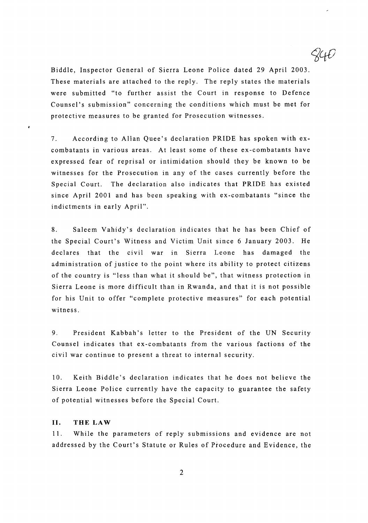Biddle, Inspector General of Sierra Leone Police dated 29 April 2003. These materials are attached to the reply. The reply states the materials were submitted "to further assist the Court in response to Defence Counsel's submission" concerning the conditions which must be met for protective measures to be granted for Prosecution witnesses.

7. According to Allan Quee's declaration PRIDE has spoken with excombatants in various areas. At least some of these ex-combatants have expressed fear of reprisal or intimidation should they be known to be witnesses for the Prosecution in any of the cases currently before the Special Court. The declaration also indicates that PRIDE has existed since April 2001 and has been speaking with ex-combatants "since the indictments in early April".

8. Saleem Vahidy's declaration indicates that he has been Chief of the Special Court's Witness and Victim Unit since 6 January 2003. He declares that the civil war in Sierra Leone has damaged the administration of justice to the point where its ability to protect citizens of the country is "less than what it should be", that witness protection in Sierra Leone is more difficult than in Rwanda, and that it is not possible for his Unit to offer "complete protective measures" for each potential witness.

9. President Kabbah's letter to the President of the UN Security Counsel indicates that ex-combatants from the various factions of the civil war continue to present a threat to internal security.

10. Keith Biddle's declaration indicates that he does not believe the Sierra Leone Police currently have the capacity to guarantee the safety of potential witnesses before the Special Court.

## **II. THE LAW**

11. While the parameters of reply submissions and evidence are not addressed by the Court's Statute or Rules of Procedure and Evidence, the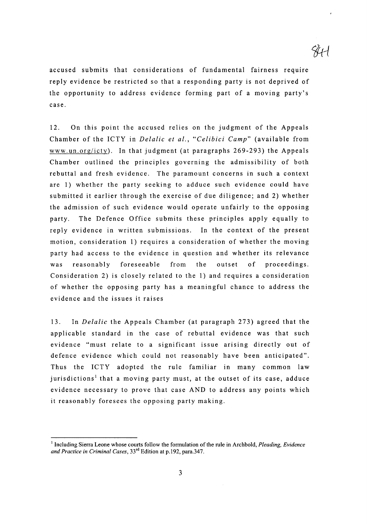accused submits that considerations of fundamental fairness require reply evidence be restricted so that a responding party is not deprived of the opportunity to address evidence forming part of a moving party's case.

12. On this point the accused relies on the judgment of the Appeals Chamber of the ICTY in *Delalic et al., "Celibici Camp"* (available from www.un.org/icty). In that judgment (at paragraphs 269-293) the Appeals Chamber outlined the principles governing the admissibility of both rebuttal and fresh evidence. The paramount concerns in such a context are 1) whether the party seeking to adduce such evidence could have submitted it earlier through the exercise of due diligence; and 2) whether the admission of such evidence would operate unfairly to the opposing party. The Defence Office submits these principles apply equally to reply evidence in written submissions. In the context of the present motion, consideration 1) requires a consideration of whether the moving party had access to the evidence in question and whether its relevance was reasonably foreseeable from the outset of proceedings. Consideration 2) is closely related to the 1) and requires a consideration of whether the opposing party has a meaningful chance to address the evidence and the issues it raises

13. In *Delalic* the Appeals Chamber (at paragraph 273) agreed that the applicable standard in the case of rebuttal evidence was that such evidence "must relate to a significant issue arising directly out of defence evidence which could not reasonably have been anticipated". Thus the ICTY adopted the rule familiar in many common law jurisdictions<sup>1</sup> that a moving party must, at the outset of its case, adduce evidence necessary to prove that case AND to address any points which it reasonably foresees the opposing party making.

<sup>&</sup>lt;sup>1</sup> Including Sierra Leone whose courts follow the formulation of the rule in Archbold, *Pleading, Evidence and Practice in Criminal Cases,* 33rd Edition at p.192, para.347.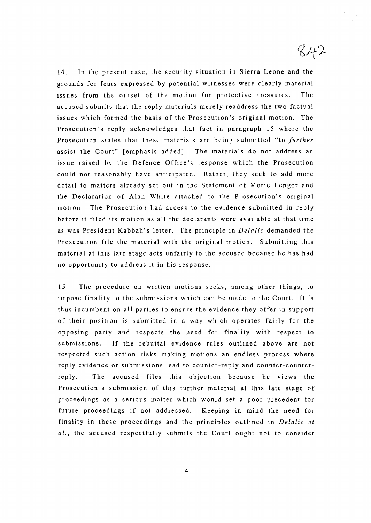14. In the present case, the security situation in Sierra Leone and the grounds for fears expressed by potential witnesses were clearly material issues from the outset of the motion for protective measures. The accused submits that the reply materials merely readdress the two factual issues which formed the basis of the Prosecution's original motion. The Prosecution's reply acknowledges that fact in paragraph 15 where the Prosecution states that these materials are being submitted "to *further* assist the Court" [emphasis added]. The materials do not address an issue raised by the Defence Office's response which the Prosecution could not reasonably have anticipated. Rather, they seek to add more detail to matters already set out in the Statement of Morie Lengor and the Declaration of Alan White attached to the Prosecution's original motion. The Prosecution had access to the evidence submitted in reply before it filed its motion as all the declarants were available at that time as was President Kabbah' s letter. The principle in *Delalic* demanded the Prosecution file the material with the original motion. Submitting this material at this late stage acts unfairly to the accused because he has had no opportunity to address it in his response.

 $842$ 

15. The procedure on written motions seeks, among other things, to impose finality to the submissions which can be made to the Court. It is thus incumbent on all parties to ensure the evidence they offer in support of their position is submitted in a way which operates fairly for the opposing party and respects the need for finality with respect to submissions. If the rebuttal evidence rules outlined above are not respected such action risks making motions an endless process where reply evidence or submissions lead to counter-reply and counter-counterreply. The accused files this objection because he views the Prosecution's submission of this further material at this late stage of proceedings as a serious matter which would set a poor precedent for future proceedings if not addressed. Keeping in mind the need for finality in these proceedings and the principles outlined in *Delalic et al.,* the accused respectfully submits the Court ought not to consider

4